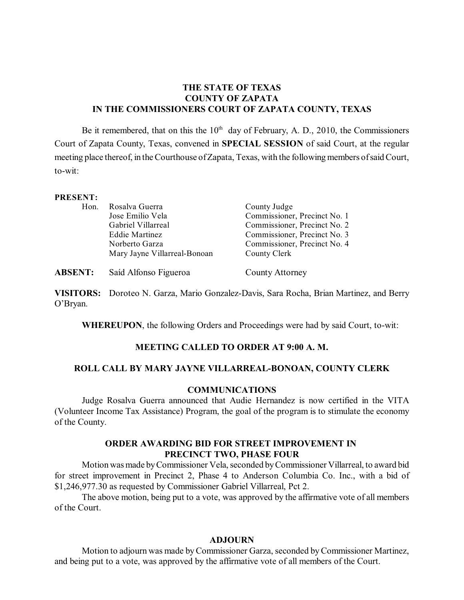# **THE STATE OF TEXAS COUNTY OF ZAPATA IN THE COMMISSIONERS COURT OF ZAPATA COUNTY, TEXAS**

Be it remembered, that on this the  $10<sup>th</sup>$  day of February, A. D., 2010, the Commissioners Court of Zapata County, Texas, convened in **SPECIAL SESSION** of said Court, at the regular meeting place thereof, in the Courthouse of Zapata, Texas, with the following members of said Court, to-wit:

### **PRESENT:**

| Hon. | Rosalva Guerra               | County Judge                 |
|------|------------------------------|------------------------------|
|      | Jose Emilio Vela             | Commissioner, Precinct No. 1 |
|      | Gabriel Villarreal           | Commissioner, Precinct No. 2 |
|      | <b>Eddie Martinez</b>        | Commissioner, Precinct No. 3 |
|      | Norberto Garza               | Commissioner, Precinct No. 4 |
|      | Mary Jayne Villarreal-Bonoan | County Clerk                 |
|      |                              |                              |

**ABSENT:** Saíd Alfonso Figueroa County Attorney

**VISITORS:** Doroteo N. Garza, Mario Gonzalez-Davis, Sara Rocha, Brian Martinez, and Berry O'Bryan.

**WHEREUPON**, the following Orders and Proceedings were had by said Court, to-wit:

# **MEETING CALLED TO ORDER AT 9:00 A. M.**

### **ROLL CALL BY MARY JAYNE VILLARREAL-BONOAN, COUNTY CLERK**

### **COMMUNICATIONS**

Judge Rosalva Guerra announced that Audie Hernandez is now certified in the VITA (Volunteer Income Tax Assistance) Program, the goal of the program is to stimulate the economy of the County.

## **ORDER AWARDING BID FOR STREET IMPROVEMENT IN PRECINCT TWO, PHASE FOUR**

Motion was made by Commissioner Vela, seconded by Commissioner Villarreal, to award bid for street improvement in Precinct 2, Phase 4 to Anderson Columbia Co. Inc., with a bid of \$1,246,977.30 as requested by Commissioner Gabriel Villarreal, Pct 2.

The above motion, being put to a vote, was approved by the affirmative vote of all members of the Court.

#### **ADJOURN**

Motion to adjourn was made by Commissioner Garza, seconded by Commissioner Martinez, and being put to a vote, was approved by the affirmative vote of all members of the Court.